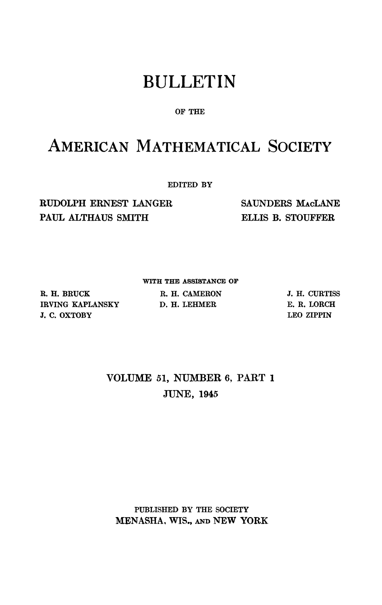# BULLETIN

### **OF THE**

## AMERICAN MATHEMATICAL SOCIETY

**EDITED BY** 

RUDOLPH ERNEST LANGER PAUL ALTHAUS SMITH

SAUNDERS MACLANE ELLIS B. STOUFFER

**R. H. BRUCK IRVING KAPLANSKY J. C. OXTOBY** 

**WITH THE ASSISTANCE OF R. H. CAMERON** 

**D. H. LEHMER** 

**J. H. CURTISS E. R. LORCH LEO ZIPPIN** 

## VOLUME 51, NUMBER 6, PART 1 JUNE, 1945

**PUBLISHED BY THE SOCIETY**  MENASHA, WIS., AND NEW YORK